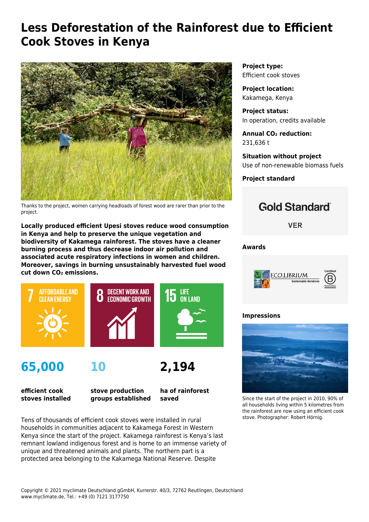# **Less Deforestation of the Rainforest due to Efficient Cook Stoves in Kenya**



Thanks to the project, women carrying headloads of forest wood are rarer than prior to the project.

**Locally produced efficient Upesi stoves reduce wood consumption in Kenya and help to preserve the unique vegetation and biodiversity of Kakamega rainforest. The stoves have a cleaner burning process and thus decrease indoor air pollution and associated acute respiratory infections in women and children. Moreover, savings in burning unsustainably harvested fuel wood cut down CO₂ emissions.**



**65,000**



**efficient cook stoves installed** **stove production groups established** **ha of rainforest saved**

**2,194**

Tens of thousands of efficient cook stoves were installed in rural households in communities adjacent to Kakamega Forest in Western Kenya since the start of the project. Kakamega rainforest is Kenya's last remnant lowland indigenous forest and is home to an immense variety of unique and threatened animals and plants. The northern part is a protected area belonging to the Kakamega National Reserve. Despite

**Project type:** Efficient cook stoves

**Project location:** Kakamega, Kenya

**Project status:** In operation, credits available

**Annual CO₂ reduction:** 231,636 t

**Situation without project** Use of non-renewable biomass fuels

**Project standard**



**VER** 

**Awards**



### **Impressions**



Since the start of the project in 2010, 90% of all households living within 5 kilometres from the rainforest are now using an efficient cook stove. Photographer: Robert Hörnig.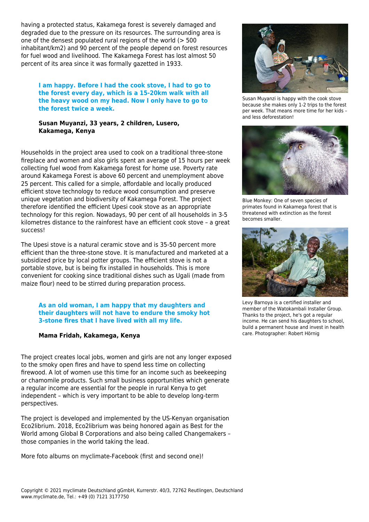having a protected status, Kakamega forest is severely damaged and degraded due to the pressure on its resources. The surrounding area is one of the densest populated rural regions of the world (> 500 inhabitant/km2) and 90 percent of the people depend on forest resources for fuel wood and livelihood. The Kakamega Forest has lost almost 50 percent of its area since it was formally gazetted in 1933.

**I am happy. Before I had the cook stove, I had to go to the forest every day, which is a 15-20km walk with all the heavy wood on my head. Now I only have to go to the forest twice a week.**

**Susan Muyanzi, 33 years, 2 children, Lusero, Kakamega, Kenya**

Households in the project area used to cook on a traditional three-stone fireplace and women and also girls spent an average of 15 hours per week collecting fuel wood from Kakamega forest for home use. Poverty rate around Kakamega Forest is above 60 percent and unemployment above 25 percent. This called for a simple, affordable and locally produced efficient stove technology to reduce wood consumption and preserve unique vegetation and biodiversity of Kakamega Forest. The project therefore identified the efficient Upesi cook stove as an appropriate technology for this region. Nowadays, 90 per cent of all households in 3-5 kilometres distance to the rainforest have an efficient cook stove – a great success!

The Upesi stove is a natural ceramic stove and is 35-50 percent more efficient than the three-stone stove. It is manufactured and marketed at a subsidized price by local potter groups. The efficient stove is not a portable stove, but is being fix installed in households. This is more convenient for cooking since traditional dishes such as Ugali (made from maize flour) need to be stirred during preparation process.

#### **As an old woman, I am happy that my daughters and their daughters will not have to endure the smoky hot 3-stone fires that I have lived with all my life.**

#### **Mama Fridah, Kakamega, Kenya**

The project creates local jobs, women and girls are not any longer exposed to the smoky open fires and have to spend less time on collecting firewood. A lot of women use this time for an income such as beekeeping or chamomile products. Such small business opportunities which generate a regular income are essential for the people in rural Kenya to get independent – which is very important to be able to develop long-term perspectives.

The project is developed and implemented by the US-Kenyan organisation Eco2librium. 2018, Eco2librium was being honored again as [Best for the](https://bthechange.com/best-for-the-world-2018-all-honorees-f30a880f8ac0) [World](https://bthechange.com/best-for-the-world-2018-all-honorees-f30a880f8ac0) among Global B Corporations and also being called [Changemakers](https://www.forbes.com/sites/jaycoengilbert/2018/09/05/203-actual-changemakers-first-movers-taking-the-lead/#4346fe4704d8) – those companies in the world taking the lead.

More foto albums on myclimate-Facebook ([first](https://www.facebook.com/pg/myclimate/photos/?tab=album&album_id=10150741871970374) and [second](https://www.facebook.com/pg/myclimate/photos/?tab=album&album_id=10152742927185374) one)!



Susan Muyanzi is happy with the cook stove because she makes only 1-2 trips to the forest per week. That means more time for her kids – and less deforestation!



Blue Monkey: One of seven species of primates found in Kakamega forest that is threatened with extinction as the forest becomes smaller.



Levy Barnoya is a certified installer and member of the Watokambali Installer Group. Thanks to the project, he's got a regular income. He can send his daughters to school, build a permanent house and invest in health care. Photographer: Robert Hörnig